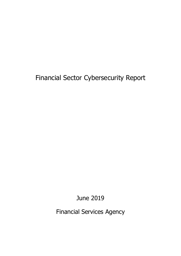Financial Sector Cybersecurity Report

June 2019

Financial Services Agency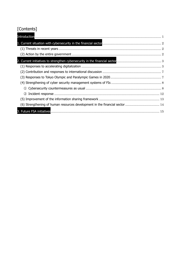# [Contents]

| (2) |  |
|-----|--|
|     |  |
|     |  |
|     |  |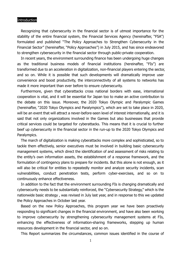### Introduction

Recognizing that cybersecurity in the financial sector is of utmost importance for the stability of the entire financial system, the Financial Services Agency (hereinafter, "FSA") formulated and published "The Policy Approaches to Strengthen Cybersecurity in the Financial Sector" (hereinafter, "Policy Approaches") in July 2015, and has since endeavored to strengthen cybersecurity in the financial sector through public-private cooperation.

In recent years, the environment surrounding finance has been undergoing huge changes as the traditional business models of financial institutions (hereinafter, "FIs") are transformed due to an acceleration in digitalization, non-financial players entering the sector, and so on. While it is possible that such developments will dramatically improve user convenience and boost productivity, the interconnectivity of all systems to networks has made it more important than ever before to ensure cybersecurity.

Furthermore, given that cyberattacks cross national borders with ease, international cooperation is vital, and it will be essential for Japan too to make an active contribution to the debate on this issue. Moreover, the 2020 Tokyo Olympic and Paralympic Games (hereinafter, "2020 Tokyo Olympics and Paralympics"), which are set to take place in 2020, will be an event that will attract a never-before-seen level of interest internationally, and it is said that not only organizations involved in the Games but also businesses that provide critical services could be targeted for cyberattacks. This means that it is crucial to further beef up cybersecurity in the financial sector in the run-up to the 2020 Tokyo Olympics and Paralympics.

The march of digitalization is making cyberattacks more complex and sophisticated, so to tackle them effectively, senior executives must be involved in building basic cybersecurity management systems, which direct the identification of and assessment of risks relating to the entity's own information assets, the establishment of a response framework, and the formulation of contingency plans to prepare for incidents. But this alone is not enough, as it will also be critical for entities to repeatedly monitor and analyze security incidents, scan vulnerabilities, conduct penetration tests, perform cyber-exercises, and so on to continuously enhance effectiveness.

In addition to the fact that the environment surrounding FIs is changing dramatically and cybersecurity needs to be substantially reinforced, the "Cybersecurity Strategy," which is the nationwide basic strategy , was revised in July last year, and in response to this we updated the Policy Approaches in October last year.

Based on the new Policy Approaches, this program year we have been proactively responding to significant changes in the financial environment, and have also been working to improve cybersecurity by strengthening cybersecurity management systems at FIs, enhancing the effectiveness of information-sharing frameworks, stepping up human resources development in the financial sector, and so on.

This Report summarizes the circumstances, common issues identified in the course of

1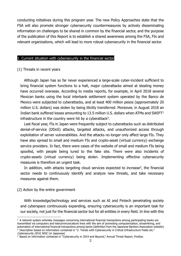conducting initiatives during this program year. The new Policy Approaches state that the FSA will also promote stronger cybersecurity countermeasures by actively disseminating information on challenges to be shared in common by the financial sector, and the purpose of the publication of this Report is to establish a shared awareness among the FSA, FIs and relevant organizations, which will lead to more robust cybersecurity in the financial sector.

#### 1. Current situation with cybersecurity in the financial sector

#### (1) Threats in recent years

Although Japan has so far never experienced a large-scale cyber-incident sufficient to bring financial system functions to a halt, major cyberattacks aimed at stealing money have occurred overseas. According to media reports, for example, in April 2018 several Mexican banks using the local interbank settlement system operated by the Banco de Mexico were subjected to cyberattacks, and at least 400 million pesos (approximately 20 million U.S. dollars) was stolen by being illicitly transferred. Moreover, in August 2018 an Indian bank suffered losses amounting to 13.5 million U.S. dollars when ATMs and SWIFT $<sup>1</sup>$ </sup> infrastructure in the country were hit by a cyberattack<sup>2</sup>.

Last fiscal year, FIs in Japan were frequently subject to cyberattacks such as distributed denial-of-service (DDoS) attacks, targeted attacks, and unauthorized access through exploitation of server vulnerabilities. And the attacks no longer only affect large FIs. They have also spread to small and medium FIs and crypto-asset (virtual currency) exchange service providers. In fact, there were cases of the website of small and medium FIs being spoofed, with people being lured to the fake site. There were also incidents of crypto-assets (virtual currency) being stolen. Implementing effective cybersecurity measures is therefore an urgent task.

In addition, with attacks targeting cloud services expected to increase<sup>3</sup>, the financial sector needs to continuously identify and analyze new threats, and take necessary measures against them.

#### (2) Action by the entire government

With knowledge/technology and services such as AI and Fintech penetrating society and cyberspace continuously expanding, ensuring cybersecurity is an important task for our society, not just for the financial sector but for all entities in every field. In line with this

 $1$  A network system whereby messages concerning international financial transactions among participating banks are transmitted via computers and telecommunications lines with the aim of promoting computerization, streamlining, and automation of international financial transactions among banks (definition from the Japanese Bankers Association website) <sup>2</sup> Description based on information contained in "2. Trends with Cybersecurity in Critical Infrastructure Fields etc."

Cybersecurity 2019, NISC (in Japanese)

<sup>&</sup>lt;sup>3</sup> Based on information contained in "Cybersecurity in 2019 and Beyond," Annual Threat Report, FireEye.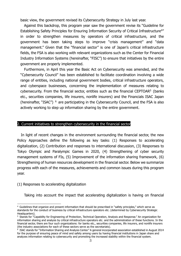basic view, the government revised its Cybersecurity Strategy in July last year.

Against this backdrop, this program year saw the government revise its "Guideline for Establishing Safety Principles for Ensuring Information Security of Critical Infrastructure<sup>4"</sup> in order to strengthen measures by operators of critical infrastructure, and the government has been taking steps to improve "crisis management" and "data management." Given that the "financial sector" is one of Japan's critical infrastructure fields, the FSA is also working with relevant organizations such as the Center for Financial Industry Information Systems (hereinafter, "FISC") to ensure that initiatives by the entire government are properly implemented.

Furthermore, in April this year the Basic Act on Cybersecurity was amended, and the "Cybersecurity Council" has been established to facilitate coordination involving a wide range of entities, including national government bodies, critical infrastructure operators, and cyberspace businesses, concerning the implementation of measures relating to cybersecurity. From the financial sector, entities such as the financial CEPTOAR5 (banks etc., securities companies, life insurers, nonlife insurers) and the Financials ISAC Japan (hereinafter, "ISAC") <sup>6</sup> are participating in the Cybersecurity Council, and the FSA is also actively working to step up information sharing by the entire government.

#### 2. Current initiatives to strengthen cybersecurity in the financial sector

In light of recent changes in the environment surrounding the financial sector, the new Policy Approaches define the following as key tasks: (1) Responses to accelerating digitalization, (2) Contribution and responses to international discussion, (3) Responses to Tokyo Olympic and Paralympic Games in 2020, (4) Strengthening of cyber security management systems of FIs, (5) Improvement of the information sharing framework, (6) Strengthening of human resources development in the financial sector. Below we summarize progress with each of the measures, achievements and common issues during this program year.

#### (1) Responses to accelerating digitalization

Taking into account the impact that accelerating digitalization is having on financial

<sup>4</sup> Guidelines that organize and present information that should be prescribed in "safety principles," which serve as standards for the conduct of business by critical infrastructure operators etc. (determined by Cybersecurity Strategic Headquarters).

<sup>5</sup> Stands for "Capability for Engineering of Protection, Technical Operation, Analysis and Response." An organization for information sharing and analysis by critical infrastructure operators etc. and the administration of these functions. In the financial sector, there are four such organizations: for banks etc., securities companies, life insurers, and nonlife insurers (the industry associations for each of these sectors serve as the secretariats).

 $6$  ISAC stands for "Information Sharing and Analysis Center." A general incorporated association established in August 2014 for the purpose of ensuring peace of mind and safety among users by having financial institutions in Japan share and analyzes information relating to cybersecurity and promoting the increased stability within the financial system.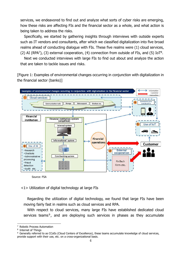services, we endeavored to find out and analyze what sorts of cyber risks are emerging, how these risks are affecting FIs and the financial sector as a whole, and what action is being taken to address the risks.

Specifically, we started by gathering insights through interviews with outside experts such as IT vendors and consultants, after which we classified digitalization into five broad realms ahead of conducting dialogue with FIs. These five realms were (1) cloud services, (2) AI (RPA<sup>7</sup>), (3) external cooperation, (4) connection from outside of FIs, and (5) IoT<sup>8</sup>.

Next we conducted interviews with large FIs to find out about and analyze the action that are taken to tackle issues and risks.

[Figure 1: Examples of environmental changes occurring in conjunction with digitalization in the financial sector (banks)]



Source: FSA

<1> Utilization of digital technology at large FIs

Regarding the utilization of digital technology, we found that large FIs have been moving fairly fast in realms such as cloud services and RPA.

With respect to cloud services, many large FIs have established dedicated cloud services teams<sup>9</sup>, and are deploying such services in phases as they accumulate

<sup>7</sup> Robotic Process Automation

<sup>8</sup> Internet of Things

<sup>9</sup> Generally referred to as CCoEs (Cloud Centers of Excellence), these teams accumulate knowledge of cloud services, provide support with their use, etc. on a cross-organizational basis.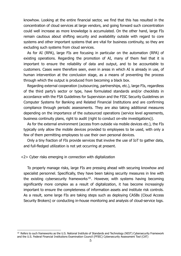knowhow. Looking at the entire financial sector, we find that this has resulted in the concentration of cloud services at large vendors, and going forward such concentration could well increase as more knowledge is accumulated. On the other hand, large FIs remain cautious about shifting security and availability outside with regard to core systems and other important systems that are vital for business continuity, so they are excluding such systems from cloud services.

As for AI (RPA), large FIs are focusing in particular on the automation (RPA) of existing operations. Regarding the promotion of AI, many of them feel that it is important to ensure the reliability of data and output, and to be accountable to customers. Cases were therefore seen, even in areas in which AI is already in use, of human intervention at the conclusion stage, as a means of preventing the process through which the output is produced from becoming a black box.

Regarding external cooperation (outsourcing, partnerships, etc.), large FIs, regardless of the third party's sector or type, have formulated standards and/or checklists in accordance with the FSA Guidelines for Supervision and the FISC Security Guidelines on Computer Systems for Banking and Related Financial Institutions and are confirming compliance through periodic assessments. They are also taking additional measures depending on the importance of the outsourced operations (service level agreements, business continuity plans, right to audit (right to conduct on-site investigations)).

As for the external environment (access from outside via mobile devices etc.), the FIs typically only allow the mobile devices provided to employees to be used, with only a few of them permitting employees to use their own personal devices.

Only a tiny fraction of FIs provide services that involve the use of IoT to gather data, and full-fledged utilization is not yet occurring at present.

<2> Cyber risks emerging in connection with digitalization

To properly manage risks, large FIs are pressing ahead with securing knowhow and specialist personnel. Specifically, they have been taking security measures in line with the existing cybersecurity frameworks<sup>10</sup>. However, with systems having becoming significantly more complex as a result of digitalization, it has become increasingly important to ensure the completeness of information assets and institute risk controls. As a result, some large FIs are taking steps such as deploying CASBs (Cloud Access Security Brokers) or conducting in-house monitoring and analysis of cloud-service logs.

<sup>&</sup>lt;sup>10</sup> Refers to such frameworks as the U.S. National Institute of Standards and Technology (NIST) Cybersecurity Framework and the U.S. Federal Financial Institutions Examination Council (FFIEC) Cybersecurity Assessment Tool (CAT)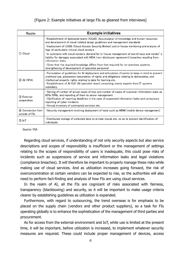# [Figure 2: Example initiatives at large FIs as gleaned from interviews]

| Realm                                | <b>Example initiatives</b>                                                                                                                                                                                                                                                                                                                                                           |
|--------------------------------------|--------------------------------------------------------------------------------------------------------------------------------------------------------------------------------------------------------------------------------------------------------------------------------------------------------------------------------------------------------------------------------------|
| 1 Cloud                              | <b>Establishment of dedicated teams (CCoE). Accumulation of knowledge and human resources</b><br>and development of cloud-related design guidelines and management standards<br>•Deployment of CASB (Cloud Access Security Broker) and in-house monitoring and analysis of<br>logs of particularly critical cloud vendors                                                            |
|                                      | In contracts with cloud vendors, demand for in-house management of secret keys and vendor's<br>liability for damages associated with NDA (non-disclosure-agreement) breaches resulting from<br>information leaks<br>• Given that the required knowledge differs from that required for on-premises systems,                                                                          |
|                                      | strengthening of development of specialist personnel                                                                                                                                                                                                                                                                                                                                 |
| $(2)$ AI (RPA)                       | •Formulation of guidelines for AI deployment and articulation of points to keep in mind to prevent<br>unethical use, possession/assumption of rights and obligations relating to deliverables, and<br>intellectual property rights relating to data for learning etc.<br><b>Establishment of AI CoE (AI specialist team) comprising mainly experts from IT systems</b><br>subsidiary |
| (3) External<br>cooperation          | •Setting of number of actual cases of loss and number of cases of customer information leaks as<br>KPIs/KRIs, and reporting of them to senior management<br>• Clarification of reporting deadlines in the case of suspected information leaks and compulsory<br>reporting of cyber incidents<br>• Annual inventory of contracted services etc.                                       |
| 4) Connection from<br>outside of FIs | • Security management involving deployment of tools such as MDM (mobile device management)                                                                                                                                                                                                                                                                                           |
| $5$ IoT                              | ·Distributed storage of collected data on private clouds etc. so as to prevent identification of<br>individuals                                                                                                                                                                                                                                                                      |

#### Source: FSA

Regarding cloud services, if understanding of not only security aspects but also service descriptions and scopes of responsibility is insufficient or the management of settings relating to the scopes of responsibility of users is inadequate, this could pose risks of incidents such as suspensions of service and information leaks and legal violations (compliance breaches). It will therefore be important to properly manage these risks while making use of cloud services. And as utilization increases going forward, the risk of overconcentration at certain vendors can be expected to rise, so the authorities will also need to perform fact-finding and analysis of how FIs are using cloud services.

In the realm of AI, all the FIs are cognizant of risks associated with fairness, transparency (blackboxing) and security, so it will be important to make usage criteria clearer by establishing guidelines as utilization is expanded.

Furthermore, with regard to outsourcing, the trend overseas is for emphasis to be placed on the supply chain (vendors and other product suppliers), so a task for FIs operating globally is to enhance the sophistication of the management of third parties and procurement.

As for access from the external environment and IoT, while use is limited at the present time, it will be important, before utilization is increased, to implement whatever security measures are required. These could include proper management of devices, access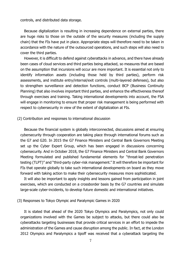controls, and distributed data storage.

Because digitalization is resulting in increasing dependence on external parties, there are huge risks to those on the outside of the security measures (including the supply chain) that the FIs have put in place. Appropriate steps will therefore need to be taken in accordance with the nature of the outsourced operations, and such steps will also need to cover the third parties.

However, it is difficult to defend against cyberattacks in advance, and there have already been cases of cloud services and third parties being attacked, so measures that are based on the assumption that incursions will occur are more important. It is essential not only to identify information assets (including those held by third parties), perform risk assessments, and institute entry/internal/exit controls (multi-layered defenses), but also to strengthen surveillance and detection functions, conduct BCP (Business Continuity Planning) that also involves important third parties, and enhance the effectiveness thereof through exercises and training. Taking international developments into account, the FSA will engage in monitoring to ensure that proper risk management is being performed with respect to cybersecurity in view of the extent of digitalization at FIs.

#### (2) Contribution and responses to international discussion

Because the financial system is globally interconnected, discussions aimed at ensuring cybersecurity through cooperation are taking place through international forums such as the G7 and G20. In 2015 the G7 Finance Ministers and Central Bank Governors Meeting set up the Cyber Expert Group, which has been engaged in discussions concerning cybersecurity. And in October 2018, the G7 Finance Ministers and Central Bank Governors Meeting formulated and published fundamental elements for "threat-led penetration testing (TLPT)" and "third-party cyber-risk management." It will therefore be important for FIs that operate globally to take such international developments on board as they move forward with taking action to make their cybersecurity measures more sophisticated.

It will also be important to apply insights and lessons gained from participation in joint exercises, which are conducted on a crossborder basis by the G7 countries and simulate large-scale cyber-incidents, to develop future domestic and international initiatives.

(3) Responses to Tokyo Olympic and Paralympic Games in 2020

It is stated that ahead of the 2020 Tokyo Olympics and Paralympics, not only could organizations involved with the Games be subject to attacks, but there could also be cyberattacks targeting businesses that provide critical services in an effort to impede the administration of the Games and cause disruption among the public. In fact, at the London 2012 Olympics and Paralympics a tipoff was received that a cyberattack targeting the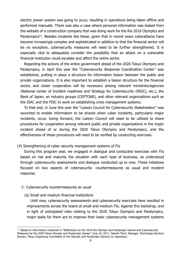electric power system was going to occur, resulting in operations being taken offline and performed manually. There was also a case where personal information was leaked from the website of a construction company that was doing work for the Rio 2016 Olympics and Paralympics<sup>11</sup>. Besides incidents like these, given that in recent years cyberattacks have become increasingly complex and sophisticated in addition to that the financial sector will be no exception, cybersecurity measures will need to be further strengthened. It is especially vital to adequately consider the possibility that an attack on a vulnerable financial institution could escalate and affect the entire sector.

Regarding the actions of the entire government ahead of the 2020 Tokyo Olympics and Paralympics, in April this year the "Cybersecurity Response Coordination Center" was established, putting in place a structure for information liaison between the public and private organizations. It is also important to establish a liaison structure for the financial sector, and closer cooperation will be necessary among relevant ministries/agencies (National center of Incident readiness and Strategy for Cybersecurity (NISC), etc.), the Bank of Japan, an industry groups (CEPTOAR), and other relevant organizations such as the ISAC and the FISC to work on establishing crisis management systems.

To that end, in June this year the "Liaison Council for Cybersecurity Stakeholders" was launched to enable information to be shared when cyber incidents, particularly major incidents, occur. Going forward, the Liaison Council will need to be utilized to share procedures for cooperation among relevant public and private organizations in the major incident ahead of or during the 2020 Tokyo Olympics and Paralympics, and the effectiveness of these procedures will need to be verified by conducting exercises.

# (4) Strengthening of cyber security management systems of FIs

During this program year, we engaged in dialogue and conducted exercises with FIs based on risk and maturity the situation with each type of business, as understood through cybersecurity assessments and dialogue conducted up to now. These initiatives focused on two aspects of cybersecurity: countermeasures as usual and incident response.

#### ① Cybersecurity countermeasures as usual

(a) Small and medium financial institutions

Until now, cybersecurity assessments and cybersecurity exercises have resulted in improvements across the board at small and medium FIs. Against this backdrop, and in light of anticipated risks relating to the 2020 Tokyo Olympics and Paralympics, major tasks for them are to improve their basic cybersecurity management systems

<sup>&</sup>lt;sup>11</sup> Based on information contained in "Reflections on the 2016 Rio Olympic and Paralympic Games and Cybersecurity Measures for the 2020 Tokyo Olympic and Paralympic Games" (July 19, 2017, Takeshi Tachi, Manager, Technology Services Bureau, Tokyo Organising Committee of the Olympic and Paralympic Games) (in Japanese).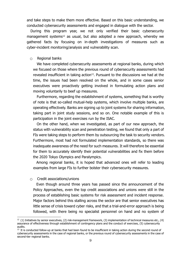and take steps to make them more effective. Based on this basic understanding, we conducted cybersecurity assessments and engaged in dialogue with the sector.

During this program year, we not only verified their basic cybersecurity management systems<sup>12</sup> as usual, but also adopted a new approach, whereby we gathered facts by focusing on in-depth investigations of measures such as cyber-incident monitoring/analysis and vulnerability scan.

#### $\circ$  Regional banks

We have completed cybersecurity assessments at regional banks, during which we focused on those where the previous round of cybersecurity assessments had revealed insufficient in taking action<sup>13</sup>. Pursuant to the discussions we had at the time, the issues had been resolved on the whole, and in some cases senior executives were proactively getting involved in formulating action plans and moving voluntarily to beef up measures.

Furthermore, regarding the establishment of systems, something that is worthy of note is that so-called mutual-help systems, which involve multiple banks, are operating effectively. Banks are signing up to joint systems for sharing information, taking part in joint study sessions, and so on. One notable example of this is participation in the joint exercises run by the ISAC.

On the other hand, when we investigated, as part of our new approach, the status with vulnerability scan and penetration testing, we found that only a part of FIs were taking steps to perform them by outsourcing the task to security vendors. Furthermore, most had not formulated implementation standards, so there was inadequate awareness of the need for such measures. It will therefore be essential for them to accurately identify their potential vulnerabilities and fix them before the 2020 Tokyo Olympics and Paralympics.

Among regional banks, it is hoped that advanced ones will refer to leading examples from large FIs to further bolster their cybersecurity measures.

#### $\circ$  Credit associations/unions

Even though around three years has passed since the announcement of the Policy Approaches, even the top credit associations and unions were still in the process of establishing basic systems for risk assessment and incident response. Major factors behind this stalling across the sector are that senior executives has little sense of crisis toward cyber risks, and that a trial-and-error approach is being followed, with there being no specialist personnel on hand and no system of

 $12$  (1) Initiatives by senior executives, (2) risk-management framework, (3) implementation of technical measures etc., (4) assurance of effectiveness through establishment of contingency plans and the conduct of exercises, (5) cybersecurity audits.

<sup>&</sup>lt;sup>13</sup> It is conducted follow-up at banks that had been found to be insufficient in taking action during the second round of cybersecurity assessments in the case of regional banks, or the previous round of cybersecurity assessments in the case of second-tier regional banks.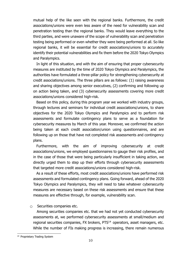mutual help of the like seen with the regional banks. Furthermore, the credit associations/unions were even less aware of the need for vulnerability scan and penetration testing than the regional banks. They would leave everything to the third parties, and were unaware of the scope of vulnerability scan and penetration testing being performed or even whether they were being performed at all. So like regional banks, it will be essential for credit associations/unions to accurately identify their potential vulnerabilities and fix them before the 2020 Tokyo Olympics and Paralympics.

In light of this situation, and with the aim of ensuring that proper cybersecurity measures are instituted by the time of 2020 Tokyo Olympics and Paralympics, the authorities have formulated a three-pillar policy for strengthening cybersecurity at credit associations/unions. The three pillars are as follows: (1) raising awareness and sharing objectives among senior executives, (2) confirming and following up on action being taken, and (3) cybersecurity assessments covering more credit associations/unions considered high-risk.

Based on this policy, during this program year we worked with industry groups, through lectures and seminars for individual credit associations/unions, to share objectives for the 2020 Tokyo Olympics and Paralympics and to perform risk assessments and formulate contingency plans to serve as a foundation for cybersecurity measures by March of this year. Moreover, we confirmed the action being taken at each credit association/union using questionnaires, and are following up on those that have not completed risk assessments and contingency plans.

Furthermore, with the aim of improving cybersecurity at credit associations/unions, we employed questionnaires to gauge their risk profiles, and in the case of those that were being particularly insufficient in taking action, we directly urged them to step up their efforts through cybersecurity assessments that targeted more credit associations/unions considered high-risk.

As a result of these efforts, most credit associations/unions have performed risk assessments and formulated contingency plans. Going forward, ahead of the 2020 Tokyo Olympics and Paralympics, they will need to take whatever cybersecurity measures are necessary based on these risk assessments and ensure that these measures are effective through, for example, vulnerability scan.

# ○ Securities companies etc.

Among securities companies etc. that we had not yet conducted cybersecurity assessments at, we performed cybersecurity assessments at small/medium and regional securities companies, FX brokers, PTS<sup>14</sup> operators, asset managers, etc. While the number of FIs making progress is increasing, there remain numerous

<sup>&</sup>lt;sup>14</sup> Proprietary Trading System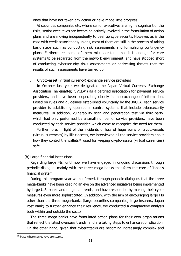ones that have not taken any action or have made little progress.

At securities companies etc. where senior executives are highly cognizant of the risks, senior executives are becoming actively involved in the formulation of action plans and are moving independently to beef up cybersecurity. However, as is the case with credit associations/unions, most of them are still in the process of taking basic steps such as conducting risk assessments and formulating contingency plans. Furthermore, some of them misunderstand that it is enough for core systems to be separated from the network environment, and have stopped short of conducting cybersecurity risks assessments or addressing threats that the results of such assessments have turned up.

# $\circ$  Crypto-asset (virtual currency) exchange service providers

In October last year we designated the Japan Virtual Currency Exchange Association (hereinafter, "JVCEA") as a certified association for payment service providers, and have been cooperating closely in the exchange of information. Based on rules and guidelines established voluntarily by the JVCEA, each service provider is establishing operational control systems that include cybersecurity measures. In addition, vulnerability scan and penetration test via third-party, which had only performed by a small number of service providers, have been conducted by each service provider, which come to recognize the need for them.

Furthermore, in light of the incidents of loss of huge sums of crypto-assets (virtual currencies) by illicit access, we interviewed all the service providers about how they control the wallets<sup>15</sup> used for keeping crypto-assets (virtual currencies) safe.

# (b) Large financial institutions

Regarding large FIs, until now we have engaged in ongoing discussions through periodic dialogue, mainly with the three mega-banks that form the core of Japan's financial system.

During this program year we confirmed, through periodic dialogue, that the three mega-banks have been keeping an eye on the advanced initiatives being implemented by large U.S. banks and on global trends, and have responded by making their cyber measures even more sophisticated. In addition, with the aim of encouraging large FIs other than the three mega-banks (large securities companies, large insurers, Japan Post Bank) to further enhance their resilience, we conducted a comparative analysis both within and outside the sector.

The three mega-banks have formulated action plans for their own organizations that reflect the latest overseas trends, and are taking steps to enhance sophistication. On the other hand, given that cyberattacks are becoming increasingly complex and

<sup>&</sup>lt;sup>15</sup> Place where secret keys are stored.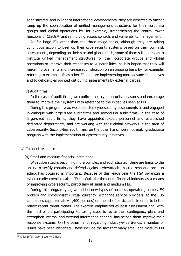sophisticated, and in light of international developments, they are expected to further ramp up the sophistication of unified management structures for their corporate groups and global operations by, for example, strengthening the control tower functions of  $CISOs<sup>16</sup>$  and reinforcing access controls and vulnerability management.

As for large FIs other than the three mega-banks, although they are taking continuous action to beef up their cybersecurity systems based on their own risk assessments, depending on their size and global reach, some of them still had room to institute unified management structures for their corporate groups and global operations or improve their responses to vulnerabilities, so it is hoped that they will make improvements and increase sophistication on an ongoing basis by, for example, referring to examples from other FIs that are implementing more advanced initiatives and to deficiencies pointed out during assessments by external parties.

## (c) Audit firms

In the case of audit firms, we confirm their cybersecurity measures and encourage them to improve their systems with reference to the initiatives seen at FIs.

During this program year, we conducted cybersecurity assessments at and engaged in dialogue with large-sized audit firms and second-tier audit firms. In the case of large-sized audit firms, they have appointed expert personnel and established dedicated departments, and are working with their global networks in the area of cybersecurity. Second-tier audit firms, on the other hand, were not making adequate progress with the implementation of cybersecurity initiatives.

#### ② Incident response

# (a) Small and medium financial institutions

With cyberattacks becoming more complex and sophisticated, there are limits to the ability to swiftly contain and defend against cyberattacks, so the response once an attack has occurred is important. Because of this, each year the FSA organizes a cybersecurity exercise called "Delta Wall" for the entire financial industry as a means of improving cybersecurity, particularly at small and medium FIs.

During this program year, we added new types of business operators, namely FX brokers and crypto-asset (virtual currency) exchange service providers, to the 105 companies (approximately 1,400 persons) on the list of participants in order to better reflect recent threat trends. The exercise emphasized ex-post assessment and, with the most of the participating FIs taking steps to revise their contingency plans and strengthen internal and external information sharing, has helped them improve their response systems. On the other hand, regarding industry-wide trends, a number of issues have been identified. These include the fact that many small and medium FIs

<sup>&</sup>lt;sup>16</sup> Chief Information Security Officer.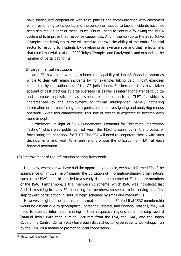have inadequate cooperation with third parties and communication with customers when responding to incidents, and the personnel needed to tackle incidents have not been secured. In light of these issues, FIs will need to continue following the PDCA cycle and to improve their response capabilities. And in the run-up to the 2020 Tokyo Olympics and Paralympics, we will need to improve the ability of the entire financial sector to respond to incidents by developing an exercise scenario that reflects risks that could materialize at the 2020 Tokyo Olympics and Paralympics and expanding the number of participating FIs

# (b) Large financial institutions

Large FIs have been working to boost the capability of Japan's financial system as whole to deal with major incidents by, for example, taking part in joint exercises conducted by the authorities of the G7 jurisdictions. Furthermore, they have taken account of best practices at large overseas FIs as well as international trends to utilize and promote sophisticated assessment techniques such as TLPT 17, which is characterized by the employment of "threat intelligence," namely gathering information on threats facing the organization and investigating and analyzing modus operandi. Given this characteristic, this sort of testing is expected to become even more in depth.

Furthermore, in light of "G-7 Fundamental Elements for Threat-led Penetration Testing," which was published last year, the FISC is currently in the process of formulating the handbook for TLPT. The FSA will need to cooperate closely with such developments and work to ensure and promote the utilization of TLPT at each financial institution.

# (5) Improvement of the information sharing framework

Until now, whenever we have had the opportunity to do so, we have informed FIs of the significance of "mutual help," namely the utilization of information-sharing organizations such as the ISAC, and this has led to a steady rise in the number of FIs that are members of the ISAC. Furthermore, a trial membership scheme, which ISAC was introduced last April, is resulting in many FIs becoming full members, so seems to be serving as a first step toward participation in "mutual help" schemes by small and medium FIs.

However, in light of the fact that some small and medium FIs feel that ISAC membership would be difficult due to geographical, personnel-related, and financial reasons, they will need to step up information sharing in their respective regions as a first step toward "mutual help." With that in mind, lecturers from the FSA, the ISAC, and the Japan Cybercrime Control Center (JC3) have been dispatched to "cybersecurity workshops" run by the FISC as a means of promoting local cooperation.

<sup>&</sup>lt;sup>17</sup> Threat-Led Penetration Testing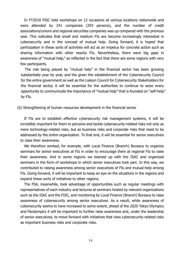In FY2018 FISC held workshops on 12 occasions at various locations nationwide and were attended by 241 companies (293 persons), and the number of credit associations/unions and regional securities companies was up compared with the previous year. This indicates that small and medium FIs are become increasingly interested in cybersecurity and in the concept of mutual help. Going forward, it is hoped that participation in these sorts of activities will act as an impetus for concrete action such as sharing information with other nearby FIs. Nevertheless, there were big gaps in awareness of "mutual help," as reflected in the fact that there are some regions with very few participants.

The role being played by "mutual help" in the financial sector has been growing substantially year by year, and the given the establishment of the Cybersecurity Council for the entire government as well as the Liaison Council for Cybersecurity Stakeholders for the financial sector, it will be essential for the authorities to continue to seize every opportunity to communicate the importance of "mutual help" that is founded on "self-help" by FIs.

(6) Strengthening of human resources development in the financial sector

If FIs are to establish effective cybersecurity risk management systems, it will be incredibly important for them to perceive and tackle cybersecurity-related risks not only as mere technology-related risks, but as business risks and corporate risks that need to be addressed by the entire organization. To that end, it will be essential for senior executives to raise their awareness.

We therefore worked, for example, with Local Finance (Branch) Bureaus to organize seminars for senior executives at FIs in order to encourage them at regional FIs to raise their awareness. And in some regions we teamed up with the ISAC and organized seminars in the form of workshops in which senior executives took part. In this way, we contributed to raising awareness among senior executives of FIs and mutual-help among FIs. Going forward, it will be important to keep an eye on the situations in the regions and expand these sorts of initiatives to other regions.

The FSA, meanwhile, took advantage of opportunities such as regular meetings with representatives of each industry and lectures at seminars hosted by relevant organizations such as the ISAC and the FISC, and monitoring by Local Finance (Branch) Bureaus to raise awareness of cybersecurity among senior executives. As a result, while awareness of cybersecurity seems to have increased to some extent, ahead of the 2020 Tokyo Olympics and Paralympics it will be important to further raise awareness and, under the leadership of senior executives, to move forward with initiatives that view cybersecurity-related risks as important business risks and corporate risks.